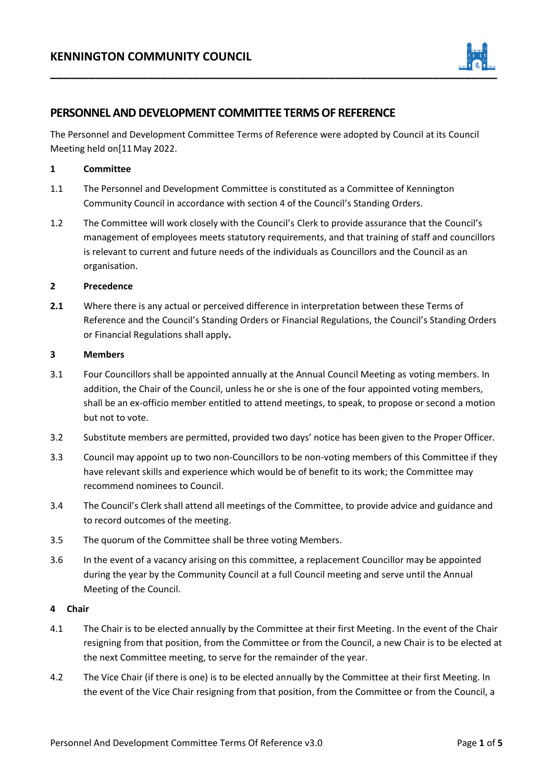

# **PERSONNEL AND DEVELOPMENT COMMITTEE TERMS OF REFERENCE**

The Personnel and Development Committee Terms of Reference were adopted by Council at its Council Meeting held on[11 May 2022.

#### **1 Committee**

- 1.1 The Personnel and Development Committee is constituted as a Committee of Kennington Community Council in accordance with section 4 of the Council's Standing Orders.
- 1.2 The Committee will work closely with the Council's Clerk to provide assurance that the Council's management of employees meets statutory requirements, and that training of staff and councillors is relevant to current and future needs of the individuals as Councillors and the Council as an organisation.

#### **2 Precedence**

**2.1** Where there is any actual or perceived difference in interpretation between these Terms of Reference and the Council's Standing Orders or Financial Regulations, the Council's Standing Orders or Financial Regulations shall apply**.**

#### **3 Members**

- 3.1 Four Councillors shall be appointed annually at the Annual Council Meeting as voting members. In addition, the Chair of the Council, unless he or she is one of the four appointed voting members, shall be an ex-officio member entitled to attend meetings, to speak, to propose or second a motion but not to vote.
- 3.2 Substitute members are permitted, provided two days' notice has been given to the Proper Officer.
- 3.3 Council may appoint up to two non-Councillors to be non-voting members of this Committee if they have relevant skills and experience which would be of benefit to its work; the Committee may recommend nominees to Council.
- 3.4 The Council's Clerk shall attend all meetings of the Committee, to provide advice and guidance and to record outcomes of the meeting.
- 3.5 The quorum of the Committee shall be three voting Members.
- 3.6 In the event of a vacancy arising on this committee, a replacement Councillor may be appointed during the year by the Community Council at a full Council meeting and serve until the Annual Meeting of the Council.

#### **4 Chair**

- 4.1 The Chair is to be elected annually by the Committee at their first Meeting. In the event of the Chair resigning from that position, from the Committee or from the Council, a new Chair is to be elected at the next Committee meeting, to serve for the remainder of the year.
- 4.2 The Vice Chair (if there is one) is to be elected annually by the Committee at their first Meeting. In the event of the Vice Chair resigning from that position, from the Committee or from the Council, a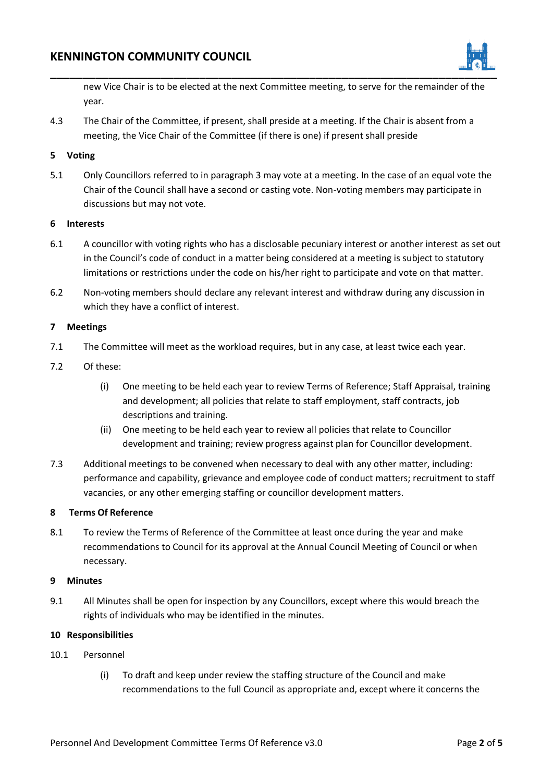

new Vice Chair is to be elected at the next Committee meeting, to serve for the remainder of the year.

4.3 The Chair of the Committee, if present, shall preside at a meeting. If the Chair is absent from a meeting, the Vice Chair of the Committee (if there is one) if present shall preside

## **5 Voting**

5.1 Only Councillors referred to in paragraph 3 may vote at a meeting. In the case of an equal vote the Chair of the Council shall have a second or casting vote. Non-voting members may participate in discussions but may not vote.

### **6 Interests**

- 6.1 A councillor with voting rights who has a disclosable pecuniary interest or another interest as set out in the Council's code of conduct in a matter being considered at a meeting is subject to statutory limitations or restrictions under the code on his/her right to participate and vote on that matter.
- 6.2 Non-voting members should declare any relevant interest and withdraw during any discussion in which they have a conflict of interest.

#### **7 Meetings**

- 7.1 The Committee will meet as the workload requires, but in any case, at least twice each year.
- 7.2 Of these:
	- (i) One meeting to be held each year to review Terms of Reference; Staff Appraisal, training and development; all policies that relate to staff employment, staff contracts, job descriptions and training.
	- (ii) One meeting to be held each year to review all policies that relate to Councillor development and training; review progress against plan for Councillor development.
- 7.3 Additional meetings to be convened when necessary to deal with any other matter, including: performance and capability, grievance and employee code of conduct matters; recruitment to staff vacancies, or any other emerging staffing or councillor development matters.

### **8 Terms Of Reference**

8.1 To review the Terms of Reference of the Committee at least once during the year and make recommendations to Council for its approval at the Annual Council Meeting of Council or when necessary.

### **9 Minutes**

9.1 All Minutes shall be open for inspection by any Councillors, except where this would breach the rights of individuals who may be identified in the minutes.

### **10 Responsibilities**

- 10.1 Personnel
	- (i) To draft and keep under review the staffing structure of the Council and make recommendations to the full Council as appropriate and, except where it concerns the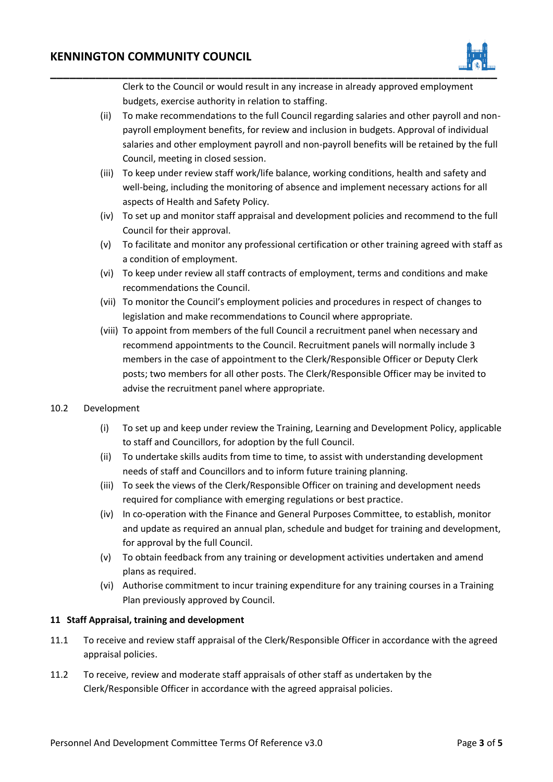

Clerk to the Council or would result in any increase in already approved employment budgets, exercise authority in relation to staffing.

- (ii) To make recommendations to the full Council regarding salaries and other payroll and nonpayroll employment benefits, for review and inclusion in budgets. Approval of individual salaries and other employment payroll and non-payroll benefits will be retained by the full Council, meeting in closed session.
- (iii) To keep under review staff work/life balance, working conditions, health and safety and well-being, including the monitoring of absence and implement necessary actions for all aspects of Health and Safety Policy.
- (iv) To set up and monitor staff appraisal and development policies and recommend to the full Council for their approval.
- (v) To facilitate and monitor any professional certification or other training agreed with staff as a condition of employment.
- (vi) To keep under review all staff contracts of employment, terms and conditions and make recommendations the Council.
- (vii) To monitor the Council's employment policies and procedures in respect of changes to legislation and make recommendations to Council where appropriate.
- (viii) To appoint from members of the full Council a recruitment panel when necessary and recommend appointments to the Council. Recruitment panels will normally include 3 members in the case of appointment to the Clerk/Responsible Officer or Deputy Clerk posts; two members for all other posts. The Clerk/Responsible Officer may be invited to advise the recruitment panel where appropriate.

# 10.2 Development

- (i) To set up and keep under review the Training, Learning and Development Policy, applicable to staff and Councillors, for adoption by the full Council.
- (ii) To undertake skills audits from time to time, to assist with understanding development needs of staff and Councillors and to inform future training planning.
- (iii) To seek the views of the Clerk/Responsible Officer on training and development needs required for compliance with emerging regulations or best practice.
- (iv) In co-operation with the Finance and General Purposes Committee, to establish, monitor and update as required an annual plan, schedule and budget for training and development, for approval by the full Council.
- (v) To obtain feedback from any training or development activities undertaken and amend plans as required.
- (vi) Authorise commitment to incur training expenditure for any training courses in a Training Plan previously approved by Council.

### **11 Staff Appraisal, training and development**

- 11.1 To receive and review staff appraisal of the Clerk/Responsible Officer in accordance with the agreed appraisal policies.
- 11.2 To receive, review and moderate staff appraisals of other staff as undertaken by the Clerk/Responsible Officer in accordance with the agreed appraisal policies.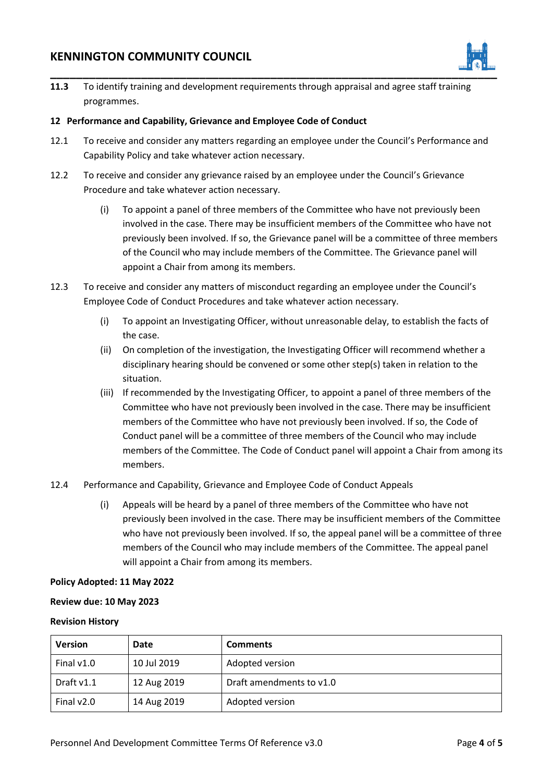# **KENNINGTON COMMUNITY COUNCIL**



**11.3** To identify training and development requirements through appraisal and agree staff training programmes.

## **12 Performance and Capability, Grievance and Employee Code of Conduct**

- 12.1 To receive and consider any matters regarding an employee under the Council's Performance and Capability Policy and take whatever action necessary.
- 12.2 To receive and consider any grievance raised by an employee under the Council's Grievance Procedure and take whatever action necessary.
	- (i) To appoint a panel of three members of the Committee who have not previously been involved in the case. There may be insufficient members of the Committee who have not previously been involved. If so, the Grievance panel will be a committee of three members of the Council who may include members of the Committee. The Grievance panel will appoint a Chair from among its members.
- 12.3 To receive and consider any matters of misconduct regarding an employee under the Council's Employee Code of Conduct Procedures and take whatever action necessary.
	- (i) To appoint an Investigating Officer, without unreasonable delay, to establish the facts of the case.
	- (ii) On completion of the investigation, the Investigating Officer will recommend whether a disciplinary hearing should be convened or some other step(s) taken in relation to the situation.
	- (iii) If recommended by the Investigating Officer, to appoint a panel of three members of the Committee who have not previously been involved in the case. There may be insufficient members of the Committee who have not previously been involved. If so, the Code of Conduct panel will be a committee of three members of the Council who may include members of the Committee. The Code of Conduct panel will appoint a Chair from among its members.
- 12.4 Performance and Capability, Grievance and Employee Code of Conduct Appeals
	- (i) Appeals will be heard by a panel of three members of the Committee who have not previously been involved in the case. There may be insufficient members of the Committee who have not previously been involved. If so, the appeal panel will be a committee of three members of the Council who may include members of the Committee. The appeal panel will appoint a Chair from among its members.

### **Policy Adopted: 11 May 2022**

### **Review due: 10 May 2023**

#### **Revision History**

| <b>Version</b> | Date        | <b>Comments</b>          |
|----------------|-------------|--------------------------|
| Final $v1.0$   | 10 Jul 2019 | Adopted version          |
| Draft v1.1     | 12 Aug 2019 | Draft amendments to v1.0 |
| Final $v2.0$   | 14 Aug 2019 | Adopted version          |